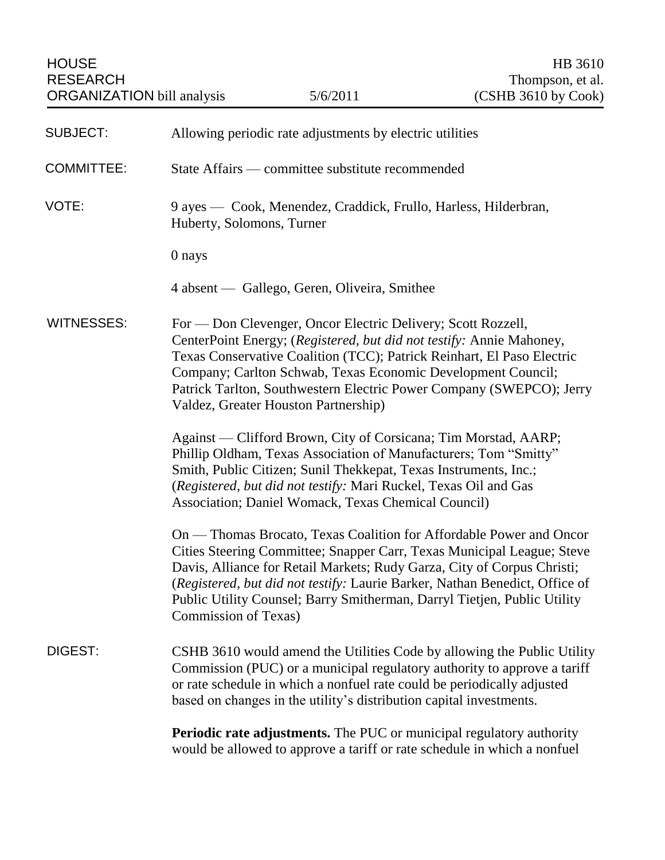| <b>SUBJECT:</b>   | Allowing periodic rate adjustments by electric utilities                                                                                                                                                                                                                                                                                                                                                    |
|-------------------|-------------------------------------------------------------------------------------------------------------------------------------------------------------------------------------------------------------------------------------------------------------------------------------------------------------------------------------------------------------------------------------------------------------|
| <b>COMMITTEE:</b> | State Affairs — committee substitute recommended                                                                                                                                                                                                                                                                                                                                                            |
| VOTE:             | 9 ayes — Cook, Menendez, Craddick, Frullo, Harless, Hilderbran,<br>Huberty, Solomons, Turner                                                                                                                                                                                                                                                                                                                |
|                   | 0 nays                                                                                                                                                                                                                                                                                                                                                                                                      |
|                   | 4 absent — Gallego, Geren, Oliveira, Smithee                                                                                                                                                                                                                                                                                                                                                                |
| <b>WITNESSES:</b> | For — Don Clevenger, Oncor Electric Delivery; Scott Rozzell,<br>CenterPoint Energy; (Registered, but did not testify: Annie Mahoney,<br>Texas Conservative Coalition (TCC); Patrick Reinhart, El Paso Electric<br>Company; Carlton Schwab, Texas Economic Development Council;<br>Patrick Tarlton, Southwestern Electric Power Company (SWEPCO); Jerry<br>Valdez, Greater Houston Partnership)              |
|                   | Against — Clifford Brown, City of Corsicana; Tim Morstad, AARP;<br>Phillip Oldham, Texas Association of Manufacturers; Tom "Smitty"<br>Smith, Public Citizen; Sunil Thekkepat, Texas Instruments, Inc.;<br>(Registered, but did not testify: Mari Ruckel, Texas Oil and Gas<br>Association; Daniel Womack, Texas Chemical Council)                                                                          |
|                   | On — Thomas Brocato, Texas Coalition for Affordable Power and Oncor<br>Cities Steering Committee; Snapper Carr, Texas Municipal League; Steve<br>Davis, Alliance for Retail Markets; Rudy Garza, City of Corpus Christi;<br>(Registered, but did not testify: Laurie Barker, Nathan Benedict, Office of<br>Public Utility Counsel; Barry Smitherman, Darryl Tietjen, Public Utility<br>Commission of Texas) |
| DIGEST:           | CSHB 3610 would amend the Utilities Code by allowing the Public Utility<br>Commission (PUC) or a municipal regulatory authority to approve a tariff<br>or rate schedule in which a nonfuel rate could be periodically adjusted<br>based on changes in the utility's distribution capital investments.                                                                                                       |
|                   | <b>Periodic rate adjustments.</b> The PUC or municipal regulatory authority<br>would be allowed to approve a tariff or rate schedule in which a nonfuel                                                                                                                                                                                                                                                     |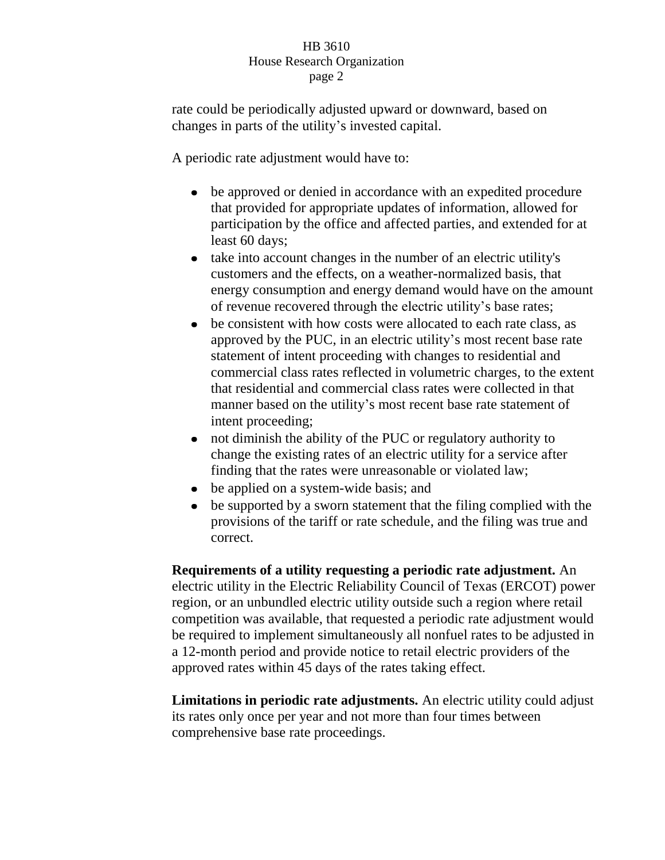rate could be periodically adjusted upward or downward, based on changes in parts of the utility's invested capital.

A periodic rate adjustment would have to:

- be approved or denied in accordance with an expedited procedure that provided for appropriate updates of information, allowed for participation by the office and affected parties, and extended for at least 60 days;
- $\bullet$ take into account changes in the number of an electric utility's customers and the effects, on a weather-normalized basis, that energy consumption and energy demand would have on the amount of revenue recovered through the electric utility's base rates;
- be consistent with how costs were allocated to each rate class, as  $\bullet$ approved by the PUC, in an electric utility's most recent base rate statement of intent proceeding with changes to residential and commercial class rates reflected in volumetric charges, to the extent that residential and commercial class rates were collected in that manner based on the utility's most recent base rate statement of intent proceeding;
- not diminish the ability of the PUC or regulatory authority to  $\bullet$ change the existing rates of an electric utility for a service after finding that the rates were unreasonable or violated law;
- be applied on a system-wide basis; and
- be supported by a sworn statement that the filing complied with the provisions of the tariff or rate schedule, and the filing was true and correct.

**Requirements of a utility requesting a periodic rate adjustment.** An electric utility in the Electric Reliability Council of Texas (ERCOT) power region, or an unbundled electric utility outside such a region where retail competition was available, that requested a periodic rate adjustment would be required to implement simultaneously all nonfuel rates to be adjusted in a 12-month period and provide notice to retail electric providers of the approved rates within 45 days of the rates taking effect.

**Limitations in periodic rate adjustments.** An electric utility could adjust its rates only once per year and not more than four times between comprehensive base rate proceedings.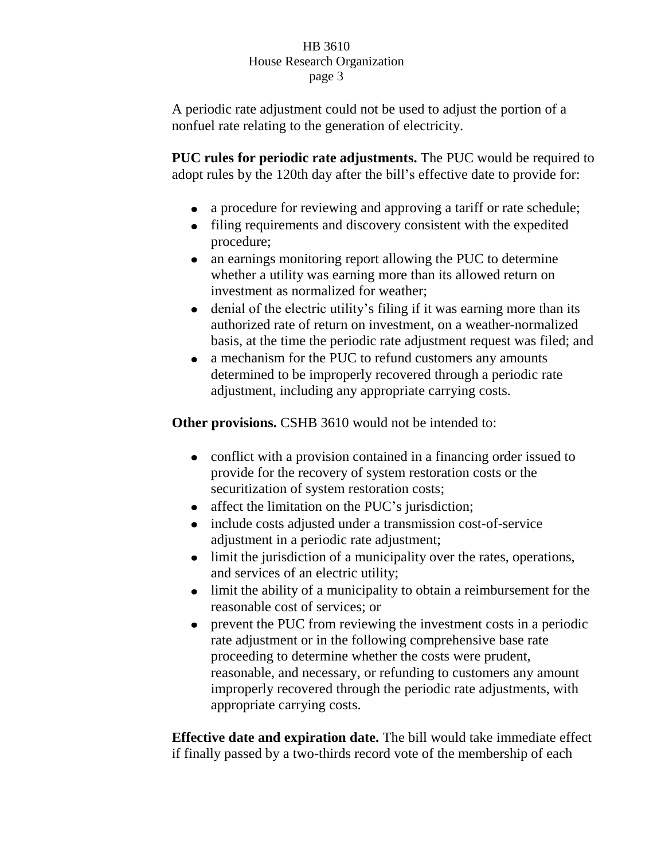A periodic rate adjustment could not be used to adjust the portion of a nonfuel rate relating to the generation of electricity.

**PUC rules for periodic rate adjustments.** The PUC would be required to adopt rules by the 120th day after the bill's effective date to provide for:

- a procedure for reviewing and approving a tariff or rate schedule;
- filing requirements and discovery consistent with the expedited procedure;
- an earnings monitoring report allowing the PUC to determine  $\bullet$ whether a utility was earning more than its allowed return on investment as normalized for weather;
- denial of the electric utility's filing if it was earning more than its authorized rate of return on investment, on a weather-normalized basis, at the time the periodic rate adjustment request was filed; and
- a mechanism for the PUC to refund customers any amounts determined to be improperly recovered through a periodic rate adjustment, including any appropriate carrying costs.

**Other provisions.** CSHB 3610 would not be intended to:

- conflict with a provision contained in a financing order issued to provide for the recovery of system restoration costs or the securitization of system restoration costs;
- affect the limitation on the PUC's jurisdiction;  $\bullet$
- include costs adjusted under a transmission cost-of-service adjustment in a periodic rate adjustment;
- limit the jurisdiction of a municipality over the rates, operations, and services of an electric utility;
- $\bullet$ limit the ability of a municipality to obtain a reimbursement for the reasonable cost of services; or
- $\bullet$ prevent the PUC from reviewing the investment costs in a periodic rate adjustment or in the following comprehensive base rate proceeding to determine whether the costs were prudent, reasonable, and necessary, or refunding to customers any amount improperly recovered through the periodic rate adjustments, with appropriate carrying costs.

**Effective date and expiration date.** The bill would take immediate effect if finally passed by a two-thirds record vote of the membership of each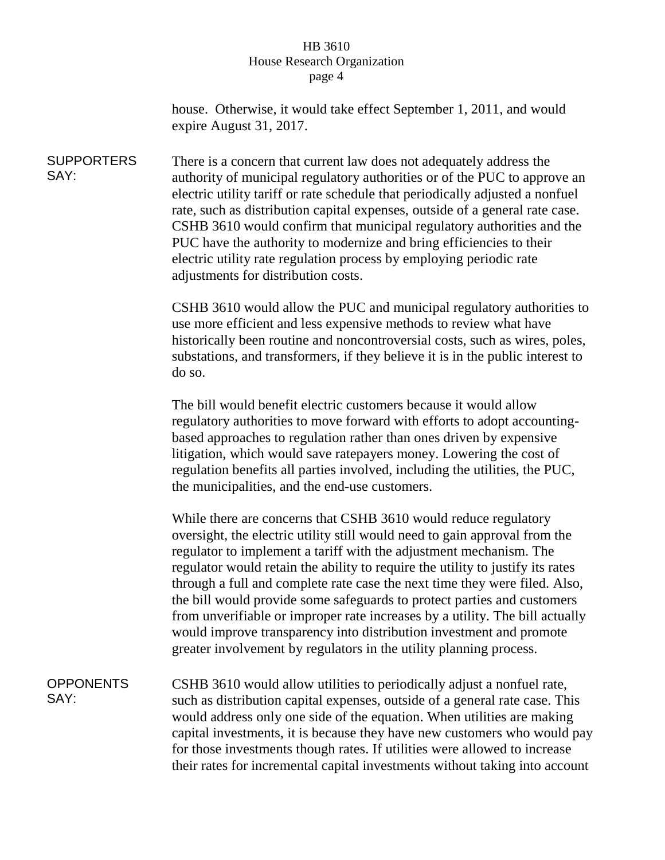house. Otherwise, it would take effect September 1, 2011, and would expire August 31, 2017.

**SUPPORTERS** SAY: There is a concern that current law does not adequately address the authority of municipal regulatory authorities or of the PUC to approve an electric utility tariff or rate schedule that periodically adjusted a nonfuel rate, such as distribution capital expenses, outside of a general rate case. CSHB 3610 would confirm that municipal regulatory authorities and the PUC have the authority to modernize and bring efficiencies to their electric utility rate regulation process by employing periodic rate adjustments for distribution costs.

> CSHB 3610 would allow the PUC and municipal regulatory authorities to use more efficient and less expensive methods to review what have historically been routine and noncontroversial costs, such as wires, poles, substations, and transformers, if they believe it is in the public interest to do so.

The bill would benefit electric customers because it would allow regulatory authorities to move forward with efforts to adopt accountingbased approaches to regulation rather than ones driven by expensive litigation, which would save ratepayers money. Lowering the cost of regulation benefits all parties involved, including the utilities, the PUC, the municipalities, and the end-use customers.

While there are concerns that CSHB 3610 would reduce regulatory oversight, the electric utility still would need to gain approval from the regulator to implement a tariff with the adjustment mechanism. The regulator would retain the ability to require the utility to justify its rates through a full and complete rate case the next time they were filed. Also, the bill would provide some safeguards to protect parties and customers from unverifiable or improper rate increases by a utility. The bill actually would improve transparency into distribution investment and promote greater involvement by regulators in the utility planning process.

**OPPONENTS** SAY: CSHB 3610 would allow utilities to periodically adjust a nonfuel rate, such as distribution capital expenses, outside of a general rate case. This would address only one side of the equation. When utilities are making capital investments, it is because they have new customers who would pay for those investments though rates. If utilities were allowed to increase their rates for incremental capital investments without taking into account